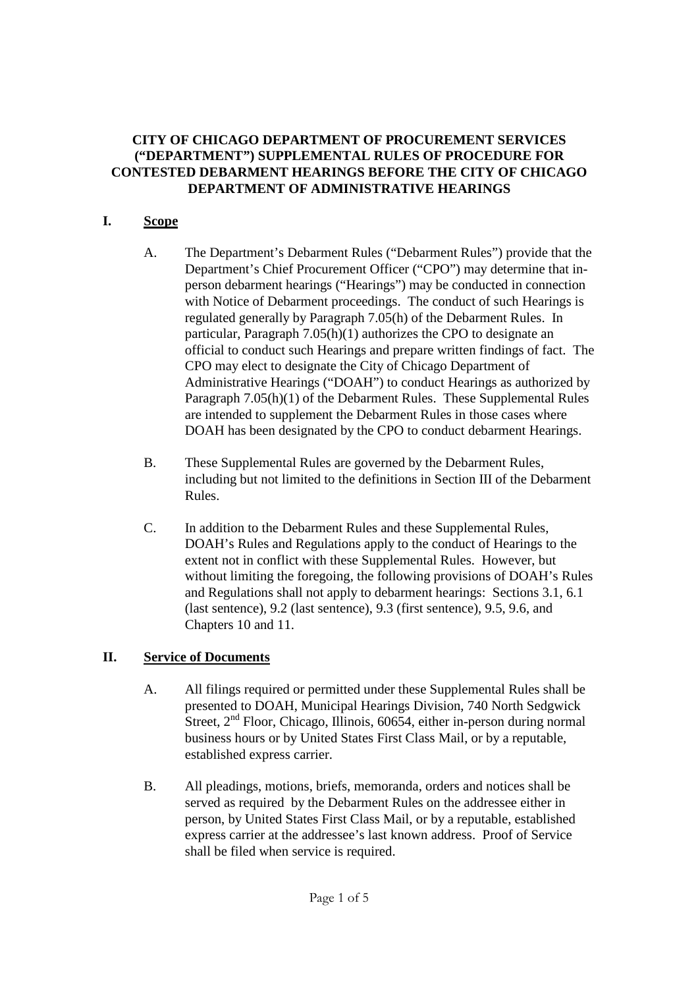#### **CITY OF CHICAGO DEPARTMENT OF PROCUREMENT SERVICES ("DEPARTMENT") SUPPLEMENTAL RULES OF PROCEDURE FOR CONTESTED DEBARMENT HEARINGS BEFORE THE CITY OF CHICAGO DEPARTMENT OF ADMINISTRATIVE HEARINGS**

## **I. Scope**

- A. The Department's Debarment Rules ("Debarment Rules") provide that the Department's Chief Procurement Officer ("CPO") may determine that inperson debarment hearings ("Hearings") may be conducted in connection with Notice of Debarment proceedings. The conduct of such Hearings is regulated generally by Paragraph 7.05(h) of the Debarment Rules. In particular, Paragraph 7.05(h)(1) authorizes the CPO to designate an official to conduct such Hearings and prepare written findings of fact. The CPO may elect to designate the City of Chicago Department of Administrative Hearings ("DOAH") to conduct Hearings as authorized by Paragraph 7.05(h)(1) of the Debarment Rules. These Supplemental Rules are intended to supplement the Debarment Rules in those cases where DOAH has been designated by the CPO to conduct debarment Hearings.
- B. These Supplemental Rules are governed by the Debarment Rules, including but not limited to the definitions in Section III of the Debarment Rules.
- C. In addition to the Debarment Rules and these Supplemental Rules, DOAH's Rules and Regulations apply to the conduct of Hearings to the extent not in conflict with these Supplemental Rules. However, but without limiting the foregoing, the following provisions of DOAH's Rules and Regulations shall not apply to debarment hearings: Sections 3.1, 6.1 (last sentence), 9.2 (last sentence), 9.3 (first sentence), 9.5, 9.6, and Chapters 10 and 11.

## **II. Service of Documents**

- A. All filings required or permitted under these Supplemental Rules shall be presented to DOAH, Municipal Hearings Division, 740 North Sedgwick Street,  $2<sup>nd</sup>$  Floor, Chicago, Illinois, 60654, either in-person during normal business hours or by United States First Class Mail, or by a reputable, established express carrier.
- B. All pleadings, motions, briefs, memoranda, orders and notices shall be served as required by the Debarment Rules on the addressee either in person, by United States First Class Mail, or by a reputable, established express carrier at the addressee's last known address. Proof of Service shall be filed when service is required.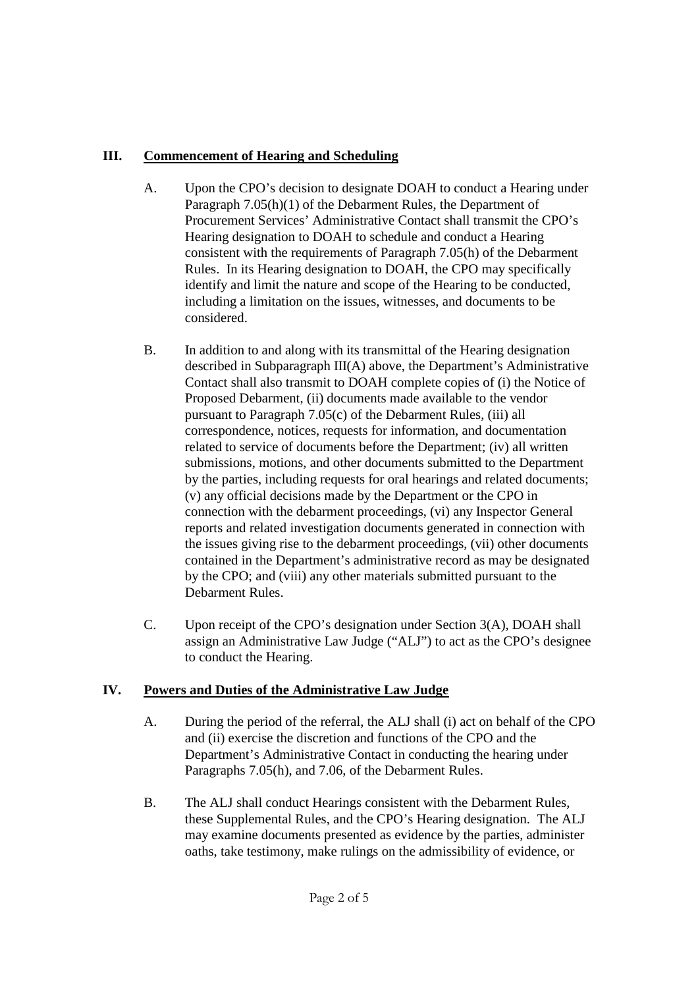# **III. Commencement of Hearing and Scheduling**

- A. Upon the CPO's decision to designate DOAH to conduct a Hearing under Paragraph 7.05(h)(1) of the Debarment Rules, the Department of Procurement Services' Administrative Contact shall transmit the CPO's Hearing designation to DOAH to schedule and conduct a Hearing consistent with the requirements of Paragraph 7.05(h) of the Debarment Rules. In its Hearing designation to DOAH, the CPO may specifically identify and limit the nature and scope of the Hearing to be conducted, including a limitation on the issues, witnesses, and documents to be considered.
- B. In addition to and along with its transmittal of the Hearing designation described in Subparagraph III(A) above, the Department's Administrative Contact shall also transmit to DOAH complete copies of (i) the Notice of Proposed Debarment, (ii) documents made available to the vendor pursuant to Paragraph 7.05(c) of the Debarment Rules, (iii) all correspondence, notices, requests for information, and documentation related to service of documents before the Department; (iv) all written submissions, motions, and other documents submitted to the Department by the parties, including requests for oral hearings and related documents; (v) any official decisions made by the Department or the CPO in connection with the debarment proceedings, (vi) any Inspector General reports and related investigation documents generated in connection with the issues giving rise to the debarment proceedings, (vii) other documents contained in the Department's administrative record as may be designated by the CPO; and (viii) any other materials submitted pursuant to the Debarment Rules.
- C. Upon receipt of the CPO's designation under Section 3(A), DOAH shall assign an Administrative Law Judge ("ALJ") to act as the CPO's designee to conduct the Hearing.

# **IV. Powers and Duties of the Administrative Law Judge**

- A. During the period of the referral, the ALJ shall (i) act on behalf of the CPO and (ii) exercise the discretion and functions of the CPO and the Department's Administrative Contact in conducting the hearing under Paragraphs 7.05(h), and 7.06, of the Debarment Rules.
- B. The ALJ shall conduct Hearings consistent with the Debarment Rules, these Supplemental Rules, and the CPO's Hearing designation. The ALJ may examine documents presented as evidence by the parties, administer oaths, take testimony, make rulings on the admissibility of evidence, or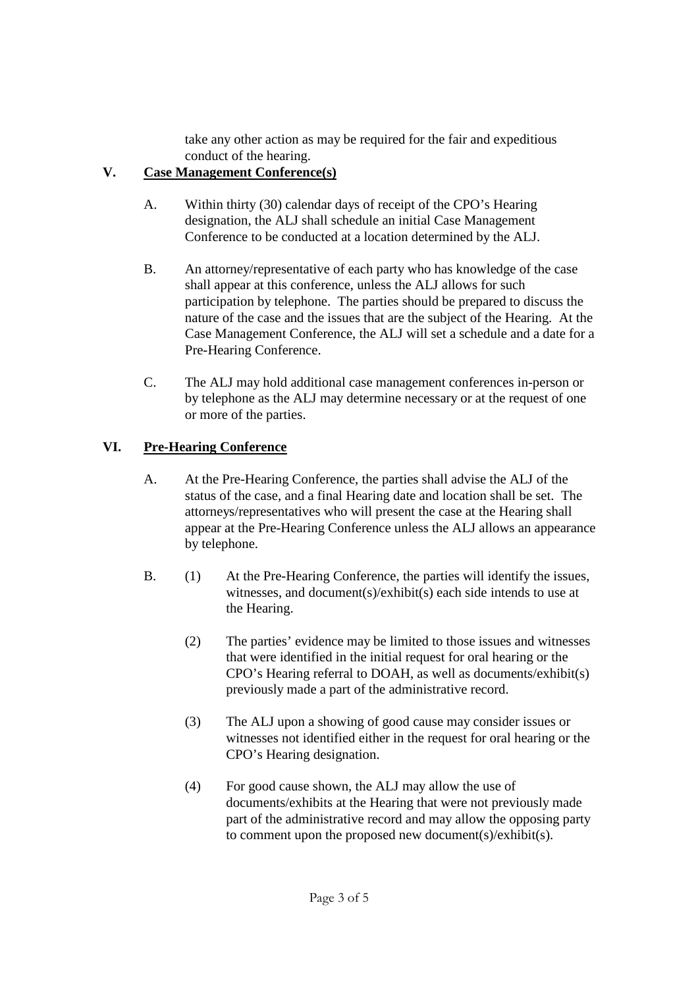take any other action as may be required for the fair and expeditious conduct of the hearing.

# **V. Case Management Conference(s)**

- A. Within thirty (30) calendar days of receipt of the CPO's Hearing designation, the ALJ shall schedule an initial Case Management Conference to be conducted at a location determined by the ALJ.
- B. An attorney/representative of each party who has knowledge of the case shall appear at this conference, unless the ALJ allows for such participation by telephone. The parties should be prepared to discuss the nature of the case and the issues that are the subject of the Hearing. At the Case Management Conference, the ALJ will set a schedule and a date for a Pre-Hearing Conference.
- C. The ALJ may hold additional case management conferences in-person or by telephone as the ALJ may determine necessary or at the request of one or more of the parties.

# **VI. Pre-Hearing Conference**

- A. At the Pre-Hearing Conference, the parties shall advise the ALJ of the status of the case, and a final Hearing date and location shall be set. The attorneys/representatives who will present the case at the Hearing shall appear at the Pre-Hearing Conference unless the ALJ allows an appearance by telephone.
- B. (1) At the Pre-Hearing Conference, the parties will identify the issues, witnesses, and document(s)/exhibit(s) each side intends to use at the Hearing.
	- (2) The parties' evidence may be limited to those issues and witnesses that were identified in the initial request for oral hearing or the CPO's Hearing referral to DOAH, as well as documents/exhibit(s) previously made a part of the administrative record.
	- (3) The ALJ upon a showing of good cause may consider issues or witnesses not identified either in the request for oral hearing or the CPO's Hearing designation.
	- (4) For good cause shown, the ALJ may allow the use of documents/exhibits at the Hearing that were not previously made part of the administrative record and may allow the opposing party to comment upon the proposed new document(s)/exhibit(s).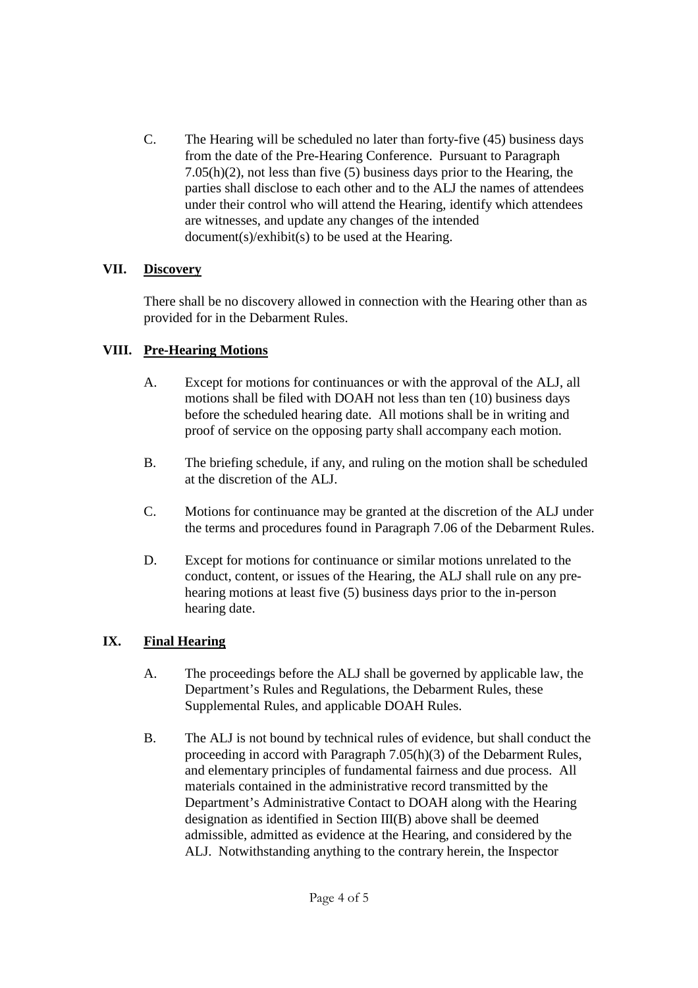C. The Hearing will be scheduled no later than forty-five (45) business days from the date of the Pre-Hearing Conference. Pursuant to Paragraph 7.05(h)(2), not less than five (5) business days prior to the Hearing, the parties shall disclose to each other and to the ALJ the names of attendees under their control who will attend the Hearing, identify which attendees are witnesses, and update any changes of the intended document(s)/exhibit(s) to be used at the Hearing.

#### **VII. Discovery**

There shall be no discovery allowed in connection with the Hearing other than as provided for in the Debarment Rules.

#### **VIII. Pre-Hearing Motions**

- A. Except for motions for continuances or with the approval of the ALJ, all motions shall be filed with DOAH not less than ten (10) business days before the scheduled hearing date. All motions shall be in writing and proof of service on the opposing party shall accompany each motion.
- B. The briefing schedule, if any, and ruling on the motion shall be scheduled at the discretion of the ALJ.
- C. Motions for continuance may be granted at the discretion of the ALJ under the terms and procedures found in Paragraph 7.06 of the Debarment Rules.
- D. Except for motions for continuance or similar motions unrelated to the conduct, content, or issues of the Hearing, the ALJ shall rule on any prehearing motions at least five (5) business days prior to the in-person hearing date.

## **IX. Final Hearing**

- A. The proceedings before the ALJ shall be governed by applicable law, the Department's Rules and Regulations, the Debarment Rules, these Supplemental Rules, and applicable DOAH Rules.
- B. The ALJ is not bound by technical rules of evidence, but shall conduct the proceeding in accord with Paragraph 7.05(h)(3) of the Debarment Rules, and elementary principles of fundamental fairness and due process. All materials contained in the administrative record transmitted by the Department's Administrative Contact to DOAH along with the Hearing designation as identified in Section III(B) above shall be deemed admissible, admitted as evidence at the Hearing, and considered by the ALJ. Notwithstanding anything to the contrary herein, the Inspector